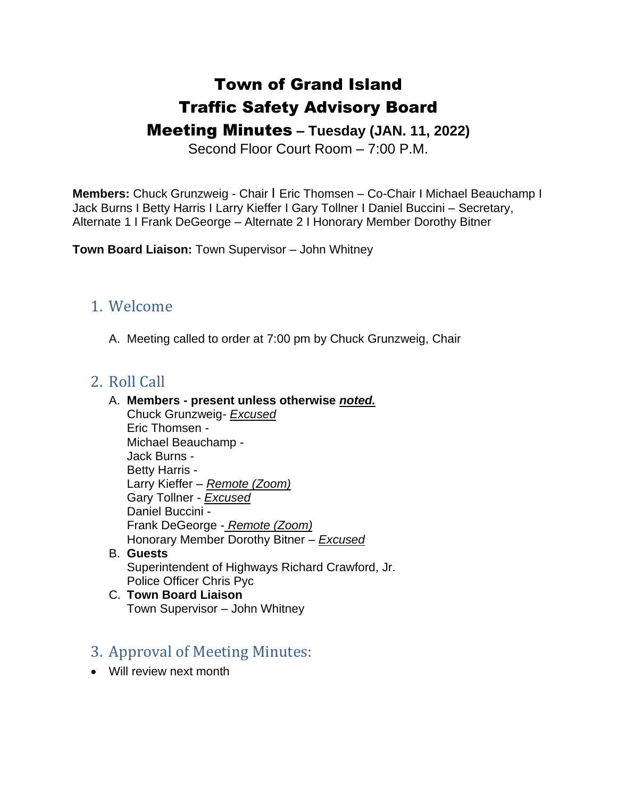# Town of Grand Island Traffic Safety Advisory Board

# Meeting Minutes **– Tuesday (JAN. 11, 2022)**

Second Floor Court Room – 7:00 P.M.

**Members:** Chuck Grunzweig - Chair I Eric Thomsen – Co-Chair I Michael Beauchamp I Jack Burns I Betty Harris I Larry Kieffer I Gary Tollner I Daniel Buccini – Secretary, Alternate 1 I Frank DeGeorge – Alternate 2 I Honorary Member Dorothy Bitner

**Town Board Liaison:** Town Supervisor – John Whitney

## 1. Welcome

A. Meeting called to order at 7:00 pm by Chuck Grunzweig, Chair

# 2. Roll Call

#### A. **Members - present unless otherwise** *noted.*

- Chuck Grunzweig- *Excused* Eric Thomsen - Michael Beauchamp - Jack Burns - Betty Harris - Larry Kieffer – *Remote (Zoom)* Gary Tollner - *Excused* Daniel Buccini - Frank DeGeorge - *Remote (Zoom)* Honorary Member Dorothy Bitner – *Excused*
- B. **Guests** Superintendent of Highways Richard Crawford, Jr. Police Officer Chris Pyc
- C. **Town Board Liaison** Town Supervisor – John Whitney

# 3. Approval of Meeting Minutes:

• Will review next month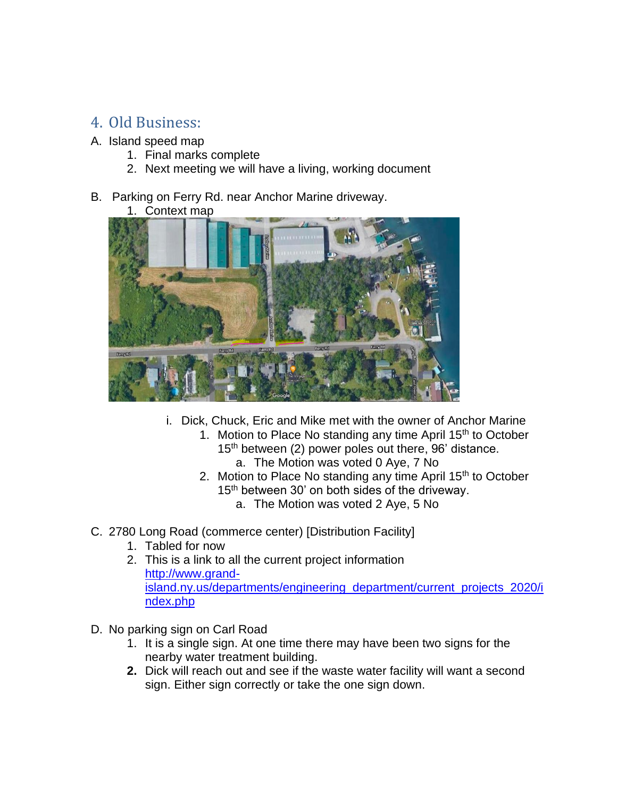# 4. Old Business:

- A. Island speed map
	- 1. Final marks complete
	- 2. Next meeting we will have a living, working document
- B. Parking on Ferry Rd. near Anchor Marine driveway.
	- 1. Context map



- i. Dick, Chuck, Eric and Mike met with the owner of Anchor Marine
	- 1. Motion to Place No standing any time April 15<sup>th</sup> to October 15<sup>th</sup> between (2) power poles out there, 96' distance. a. The Motion was voted 0 Aye, 7 No
	- 2. Motion to Place No standing any time April 15<sup>th</sup> to October 15<sup>th</sup> between 30' on both sides of the driveway.
		- a. The Motion was voted 2 Aye, 5 No
- C. 2780 Long Road (commerce center) [Distribution Facility]
	- 1. Tabled for now
	- 2. This is a link to all the current project information [http://www.grand](about:blank)[island.ny.us/departments/engineering\\_department/current\\_projects\\_2020/i](about:blank) [ndex.php](about:blank)
- D. No parking sign on Carl Road
	- 1. It is a single sign. At one time there may have been two signs for the nearby water treatment building.
	- **2.** Dick will reach out and see if the waste water facility will want a second sign. Either sign correctly or take the one sign down.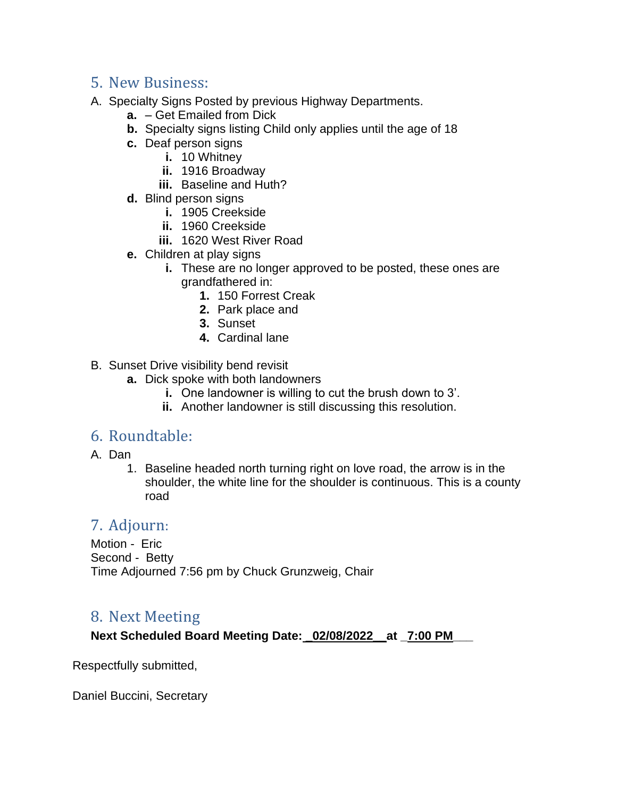# 5. New Business:

- A. Specialty Signs Posted by previous Highway Departments.
	- **a.** Get Emailed from Dick
	- **b.** Specialty signs listing Child only applies until the age of 18
	- **c.** Deaf person signs
		- **i.** 10 Whitney
			- **ii.** 1916 Broadway
			- **iii.** Baseline and Huth?
	- **d.** Blind person signs
		- **i.** 1905 Creekside
		- **ii.** 1960 Creekside
		- **iii.** 1620 West River Road
	- **e.** Children at play signs
		- **i.** These are no longer approved to be posted, these ones are grandfathered in:
			- **1.** 150 Forrest Creak
			- **2.** Park place and
			- **3.** Sunset
			- **4.** Cardinal lane

B. Sunset Drive visibility bend revisit

- **a.** Dick spoke with both landowners
	- **i.** One landowner is willing to cut the brush down to 3'.
	- **ii.** Another landowner is still discussing this resolution.

#### 6. Roundtable:

- A. Dan
	- 1. Baseline headed north turning right on love road, the arrow is in the shoulder, the white line for the shoulder is continuous. This is a county road

## 7. Adjourn:

Motion - Eric Second - Betty Time Adjourned 7:56 pm by Chuck Grunzweig, Chair

## 8. Next Meeting

**Next Scheduled Board Meeting Date: \_02/08/2022\_\_at \_7:00 PM\_\_\_** 

Respectfully submitted,

Daniel Buccini, Secretary